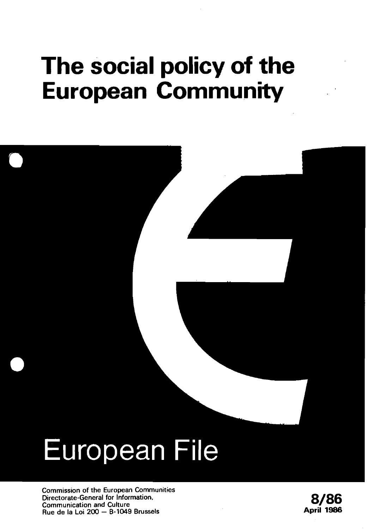## **The social policy of the European Community**

# **European File**

**Commission of the European Communities**  Directorate-General for Information.<br>
Communication and Culture<br>
Rue de la Loi 200 – B-1049 Brussels<br> **Rue de la Loi 200 – B-1049 Brussels Rue de la Loi 200** - **B-1049 Brussels April 1986** 

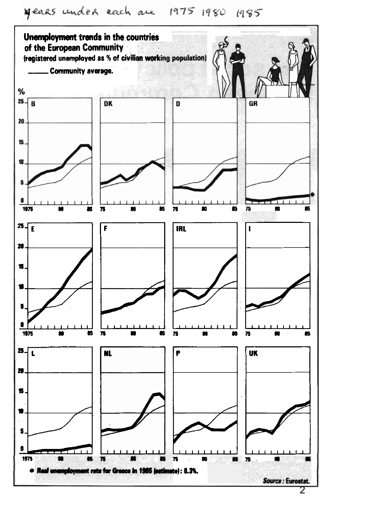years under each are 1975 1980 1985

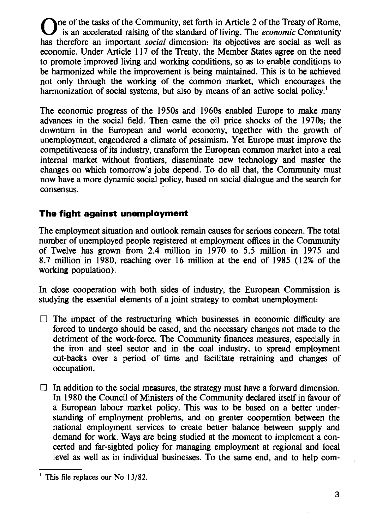The of the tasks of the Community, set forth in Article 2 of the Treaty of Rome, is an accelerated raising of the standard of living. The **economic** Community has therefore an important **social** dimension: its objectives are social as well as economic. Under Article 1 17 of the Treaty, the Member States agree on the need to promote improved living and working conditions, so as to enable conditions to be harmonized while the improvement is being maintained. This is to be achieved not only through the working of the common market, which encourages the harmonization of social systems, but also by means of an active social policy.<sup>1</sup>

The economic progress of the 1950s and 1960s enabled Europe to make many advances in the social field. Then came the oil price shocks of the 1970s; the downturn in the European and world economy, together with the growth of unemployment, engendered a climate of pessimism. Yet Europe must improve the competitiveness of its industry, transform the European common market into a real internal market without frontiers, disseminate new technology and master the changes on which tomorrow's jobs depend. To do **all** that, the Community must now have a more dynamic social policy, based on social dialogue and the search for consensus.

#### **The fight against unemployment**

The employment situation and outlook remain causes for serious concern. The total number of unemployed people registered at employment offices in the Community of Twelve has grown from 2.4 million in 1970 to 5.5 million in 1975 and 8.7 million in 1980, reaching over 16 million at the end of 1985 (12% of the working population).

In close cooperation with both sides of industry, the European Commission is studying the essential elements of a joint strategy to combat unemployment:

- $\Box$  The impact of the restructuring which businesses in economic difficulty are forced to undergo should be eased, and the necessary changes not made to the detriment of the work-force. The Community finances measures, especially in the iron and steel sector and in the coal industry, to spread employment cut-backs over a period of time and facilitate retraining and changes of occupation.
- $\Box$  In addition to the social measures, the strategy must have a forward dimension. In 1980 the Council of Ministers of the Community declared itself in favour of a European labour market policy. This was to be based on a better understanding of employment problems, and on greater cooperation between the national employment services to create better balance between supply and demand for work. Ways are being studied at the moment to implement a concerted and far-sighted policy for managing employment at regional and local level as well as in individual businesses. To the same end, and to help com-

This file replaces our No 13/82.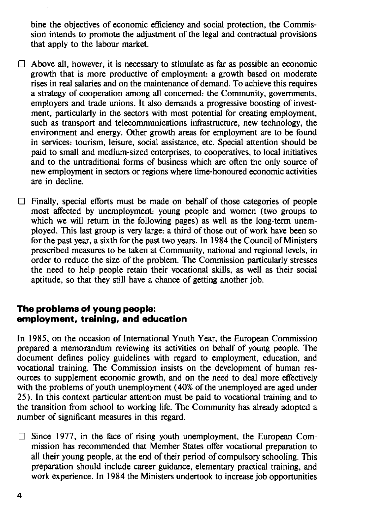bine the objectives of economic efficiency and social protection, the Commission intends to promote the adjustment of the legal and contractual provisions that apply to the labour market.

- $\Box$  Above all, however, it is necessary to stimulate as far as possible an economic growth that is more productive of employment: a growth based on moderate rises in real salaries and on the maintenance of demand. To achieve this requires a strategy of cooperation among all concerned: the Community, governments, employers and trade unions. It also demands a progressive boosting of investment, particularly in the sectors with most potential for creating employment, such as transport and telecommunications infrastructure, new technology, the environment and energy. Other growth areas for employment are to be found in services: tourism, leisure, social assistance, etc. Special attention should be paid to small and medium-sized enterprises, to cooperatives, to local initiatives and to the untraditional forms of business which are often the only source of new employment in sectors or regions where time-honoured economic activities are in decline.
- $\Box$  Finally, special efforts must be made on behalf of those categories of people most affected by unemployment: young people and women (two groups to which we will return in the following pages) as well as the long-term unemployed. This last group is very large: a third of those out of work have been so for the past year, a sixth for the past two years. In 1984 the Council of Ministers prescribed measures to be taken at Community, national and regional levels, in order to reduce the size of the problem. The Commission particularly stresses the need to help people retain their vocational skills, as well as their social aptitude, so that they still have a chance of getting another job.

#### **The problems of young people: employment, training, and education**

In 1985, on the occasion of International Youth Year, the European Commission prepared a memorandum reviewing its activities on behalf of young people. The document defines policy guidelines with regard to employment, education, and vocational training. The Commission insists on the development of human resources to supplement economic growth, and on the need to deal more effectively with the problems of youth unemployment (40% of the unemployed are aged under 25). In this context particular attention must be paid to vocational training and to the transition from school to working life. The Community has already adopted a number of signiticant measures in this regard.

 $\Box$  Since 1977, in the face of rising youth unemployment, the European Commission has recommended that Member States offer vocational preparation to all their young people, at the end of their period of compulsory schooling. This preparation should include career guidance, elementary practical training, and work experience. In 1984 the Ministers undertook to increase job opportunities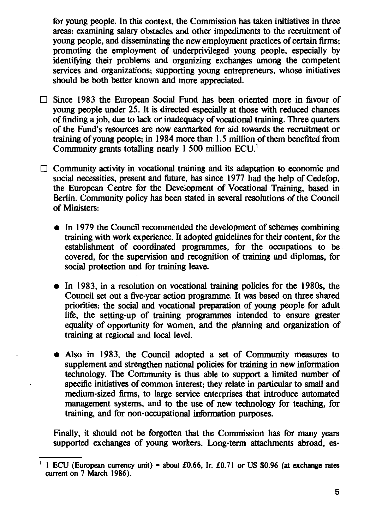for young people. In this context, the Commission has taken initiatives in three areas: examining salary obstacles and other impediments to the recruitment of voung people, and disseminating the new employment practices of certain firms. promoting the employment of underprivileged young people, especially by identifying their problems and organizing exchanges among the competent services and organizations: supporting young entrepreneurs, whose initiatives should be both better known and more appreciated.

- $\Box$  Since 1983 the European Social Fund has been oriented more in favour of young people under 25. It is directed especially at those with reduced chances of finding a job, due to lack or inadequacy of vocational training. Three quarters of the Fund's resources are now earmarked for aid towards the recruitment or training of young people; in 1984 more than 1.5 million of them benefited from Community grants totalling nearly 1 500 million ECU.
- $\Box$  Community activity in vocational training and its adaptation to economic and social necessities, present and future, has since 1977 had the help of Cedefop, the European Centre for the Development of Vocational Training, based in Berlin. Community policy has been stated in several resolutions of the Council of Ministers:
	- In 1979 the Council recommended the development of schemes combining training with work experience. It adopted guidelines for their content, for the establishment of coordinated programmes, for the occupations to be covered, for the supervision and recognition of training and diplomas, for social protection and for training leave.
	- In 1983, in a resolution on vocational training policies for the 1980s, the Council set out a five-vear action programme. It was based on three shared priorities: the social and vocational preparation of young people for adult life, the setting-up of training programmes intended to ensure greater equality of opportunity for women, and the planning and organization of training at regional and local level.
	- Also in 1983, the Council adopted a set of Community measures to supplement and strengthen national policies for training in new information technology. The Community is thus able to support a limited number of specific initiatives of common interest; they relate in particular to small and medium-sized firms, to large service enterprises that introduce automated management systems, and to the use of new technology for teaching, for training, and for non-occupational information purposes.

Finally, it should not be forgotten that the Commission has for many years supported exchanges of young workers. Long-term attachments abroad, es-

<sup>1</sup> ECU (European currency unit) = about £0.66, Ir. £0.71 or US \$0.96 (at exchange rates current on 7 March 1986).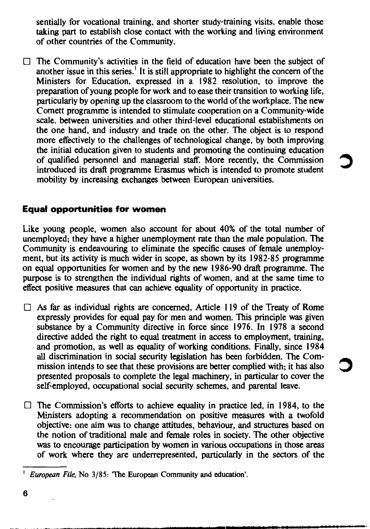sentially for vocational training, and shorter study-training visits, enable those taking part to establish close contact with the working and living environment of other countries of the Community.

 $\Box$  The Community's activities in the field of education have been the subject of another issue in this series.<sup>1</sup> It is still appropriate to highlight the concern of the Ministers for Education, expressed in a 1982 resolution, to improve the preparation of young people for work and to ease their transition to working life. particularly by opening up the classroom to the world of the workplace. The new Comett programme is intended to stimulate cooperation on a Community-wide scale, between universities and other third-level educational establishments on the one hand, and industry and trade on the other. The object is to respond more effectively to the challenges of technological change, by both improving the initial education given to students and promoting the continuing education of qualified personnel and managerial staff. More recently, the Commission introduced its draft programme Erasmus which is intended to promote student mobility by increasing exchanges between European universities.

#### **Equal opportunities for women**

Like young people, women also account for about 40% of the total number of unemployed; they have a higher unemployment rate than the male population. The Community is endeavouring to eliminate the specific causes of female unemployment, but its activity is much wider in scope, as shown by its 1982-85 programme on equal opportunities for women and by the new 1986-90 draft programme. The purpose is to strengthen the individual rights of women, and at the same time to effect positive measures that can achieve equality of opportunity in practice.

- $\Box$  As far as individual rights are concerned. Article 119 of the Treaty of Rome expressly provides for equal pay for men and women. This principle was given substance by a Community directive in force since 1976. In 1978 a second directive added the right to equal treatment in access to employment, training, and promotion, as well as equality of working conditions. Finally, since 1984 all discrimination in social security legislation has been forbidden. The Commission intends to see that these provisions are better complied with; it has also presented proposals to complete the legal machinery, in particular to cover the self-employed, occupational social security schemes, and parental leave.
- $\Box$  The Commission's efforts to achieve equality in practice led, in 1984, to the Ministers adopting a recommendation on positive measures with a twofold objective: one aim was to change attitudes, behaviour, and structures based on the notion of traditional male and female roles in society. The other objective was to encourage participation by women in various occupations in those areas of work where they are underrepresented, particularly in the sectors of the

<sup>&</sup>lt;sup>1</sup> European File, No 3/85: 'The European Community and education'.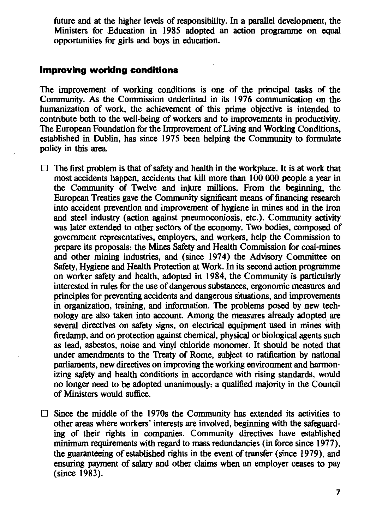future and at the higher levels of responsibility. In a parallel development, the Ministers for Education in 1985 adopted an action programme on equal opportunities for girls and boys in education.

#### Improvina workina conditions

The improvement of working conditions is one of the principal tasks of the Community. As the Commission underlined in its 1976 communication on the humanization of work, the achievement of this prime objective is intended to contribute both to the well-being of workers and to improvements in productivity. The European Foundation for the Improvement of Living and Working Conditions. established in Dublin, has since 1975 been helping the Community to formulate policy in this area.

- $\Box$  The first problem is that of safety and health in the workplace. It is at work that most accidents happen, accidents that kill more than 100 000 people a year in the Community of Twelve and injure millions. From the beginning, the European Treaties gave the Community significant means of financing research into accident prevention and improvement of hygiene in mines and in the iron and steel industry (action against pneumoconiosis, etc.). Community activity was later extended to other sectors of the economy. Two bodies, composed of government representatives, employers, and workers, help the Commission to prepare its proposals: the Mines Safety and Health Commission for coal-mines and other mining industries, and (since 1974) the Advisory Committee on Safety, Hygiene and Health Protection at Work. In its second action programme on worker safety and health, adopted in 1984, the Community is particularly interested in rules for the use of dangerous substances, ergonomic measures and principles for preventing accidents and dangerous situations, and improvements in organization, training, and information. The problems posed by new technology are also taken into account. Among the measures already adopted are several directives on safety signs, on electrical equipment used in mines with firedamp, and on protection against chemical, physical or biological agents such as lead, asbestos, noise and vinyl chloride monomer. It should be noted that under amendments to the Treaty of Rome, subject to ratification by national parliaments, new directives on improving the working environment and harmonizing safety and health conditions in accordance with rising standards, would no longer need to be adopted unanimously: a qualified majority in the Council of Ministers would suffice.
- $\Box$  Since the middle of the 1970s the Community has extended its activities to other areas where workers' interests are involved, beginning with the safeguarding of their rights in companies. Community directives have established minimum requirements with regard to mass redundancies (in force since 1977). the guaranteeing of established rights in the event of transfer (since 1979), and ensuring payment of salary and other claims when an employer ceases to pay (since 1983).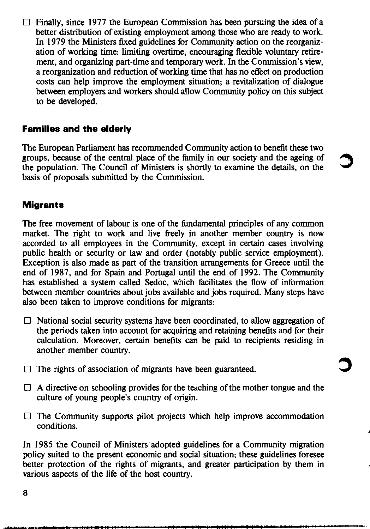$\Box$  Finally, since 1977 the European Commission has been pursuing the idea of a better distribution of existing employment among those who are ready to work. In 1979 the Ministers fixed guidelines for Community action on the reorganization of working time: limiting overtime, encouraging flexible voluntary retirement, and organizing part-time and temporary work. In the Commission's view, a reorganization and reduction of working time that has no effect on production costs can help improve the employment situation; a revitalization of dialogue between employers and workers should allow Community policy on this subject to be developed.

#### **Families and the elderly**

The European Parliament has recommended Community action to benefit these two groups, because of the central place of the family in our society and the ageing of the population. The Council of Ministers is shortly to examine the details, on the basis of proposals submitted by the Commission.

#### **Migrants**

The free movement of labour is one of the fundamental principles of any common market. The right to work and live freely in another member country is now accorded to all employees in the Community, except in certain cases involving public health or security or law and order (notably public service employment). Exception is also made as part of the transition arrangements for Greece until the end of 1987, and for Spain and Portugal until the end of 1992. The Community has established a system called Sedoc, which facilitates the flow of information between member countries about jobs available and jobs required. Many steps have also been taken to improve conditions for migrants.

- $\Box$  National social security systems have been coordinated, to allow aggregation of the periods taken into account for acquiring and retaining benefits and for their calculation. Moreover, certain benefits can be paid to recipients residing in another member country.
- $\Box$  The rights of association of migrants have been guaranteed.
- $\Box$  A directive on schooling provides for the teaching of the mother tongue and the culture of young people's country of origin.
- $\Box$  The Community supports pilot projects which help improve accommodation conditions.

In 1985 the Council of Ministers adopted guidelines for a Community migration policy suited to the present economic and social situation; these guidelines foresee better protection of the rights of migrants, and greater participation by them in various aspects of the life of the host country.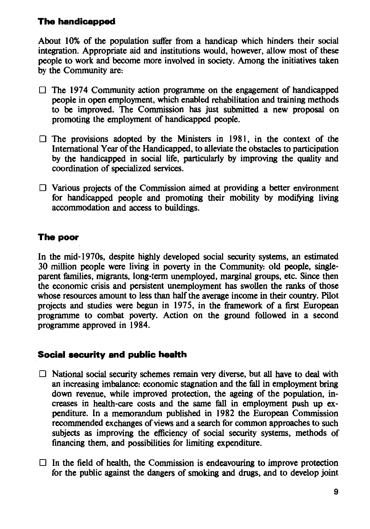### **The handicapped**

About 10% of the population suffer from a handicap which hinders their social integration. Appropriate aid and institutions would, however, allow most of these people to work and become more involved in society. Among the initiatives taken by the Community are:

- $\Box$  The 1974 Community action programme on the engagement of handicapped people in open employment, which enabled rehabilitation and training methods to be improved. The Commission has just submitted a new proposal on promoting the employment of handicapped people.
- $\Box$  The provisions adopted by the Ministers in 1981, in the context of the International Year of the Handicapped, to alleviate the obstacles to participation by the handicapped in social life, particularly by improving the quality and coordination of specialized services.
- $\Box$  Various projects of the Commission aimed at providing a better environment for handicapped people and promoting their mobility by modifying living accommodation and access to buildings.

#### The poor

In the mid-1970s, despite highly developed social security systems, an estimated 30 million people were living in poverty in the Community; old people, singleparent families, migrants, long-term unemployed, marginal groups, etc. Since then the economic crisis and persistent unemployment has swollen the ranks of those whose resources amount to less than half the average income in their country. Pilot projects and studies were begun in 1975, in the framework of a first European programme to combat poverty. Action on the ground followed in a second programme approved in 1984.

#### **Social security and public health**

- $\Box$  National social security schemes remain very diverse, but all have to deal with an increasing imbalance: economic stagnation and the fall in employment bring down revenue, while improved protection, the ageing of the population, increases in health-care costs and the same fall in employment push up expenditure. In a memorandum published in 1982 the European Commission recommended exchanges of views and a search for common approaches to such subjects as improving the efficiency of social security systems, methods of financing them, and possibilities for limiting expenditure.
- $\Box$  In the field of health, the Commission is endeavouring to improve protection for the public against the dangers of smoking and drugs, and to develop joint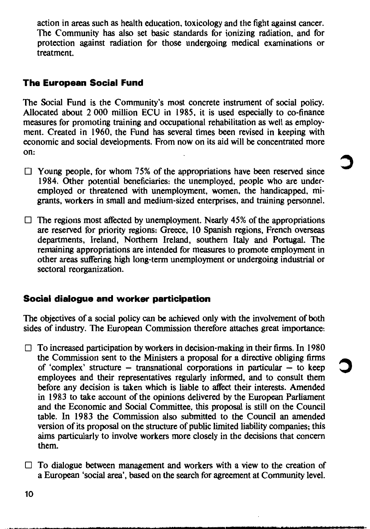action in areas such as health education, toxicology and the fight against cancer. The Community has also set basic standards for ionizing radiation, and for protection against radiation for those undergoing medical examinations or treatment.

#### **The European Social Fund**

The Social Fund is the Community's most concrete instrument of social policy. Allocated about 2,000 million ECU in 1985, it is used especially to co-finance measures for promoting training and occupational rehabilitation as well as employment. Created in 1960, the Fund has several times been revised in keeping with economic and social developments. From now on its aid will be concentrated more on:

- $\Box$  Young people, for whom 75% of the appropriations have been reserved since 1984. Other potential beneficiaries: the unemployed, people who are underemployed or threatened with unemployment, women, the handicapped, migrants, workers in small and medium-sized enterprises, and training personnel.
- $\Box$  The regions most affected by unemployment. Nearly 45% of the appropriations are reserved for priority regions: Greece, 10 Spanish regions, French overseas departments, Ireland, Northern Ireland, southern Italy and Portugal. The remaining appropriations are intended for measures to promote employment in other areas suffering high long-term unemployment or undergoing industrial or sectoral reorganization.

#### Social dialogue and worker participation

The objectives of a social policy can be achieved only with the involvement of both sides of industry. The European Commission therefore attaches great importance.

- $\Box$  To increased participation by workers in decision-making in their firms. In 1980 the Commission sent to the Ministers a proposal for a directive obliging firms of 'complex' structure – transnational corporations in particular – to keep employees and their representatives regularly informed, and to consult them before any decision is taken which is liable to affect their interests. Amended in 1983 to take account of the opinions delivered by the European Parliament and the Economic and Social Committee, this proposal is still on the Council table. In 1983 the Commission also submitted to the Council an amended version of its proposal on the structure of public limited liability companies; this aims particularly to involve workers more closely in the decisions that concern them.
- $\Box$  To dialogue between management and workers with a view to the creation of a European 'social area', based on the search for agreement at Community level.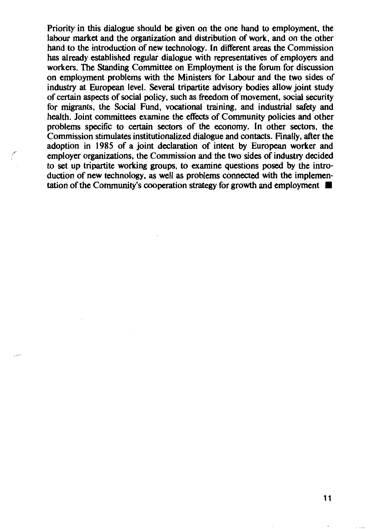Priority in this dialogue should be given on the one hand to employment, the labour market and the organization and distribution of work, and on the other hand to the introduction of new technology. In different areas the Commission has already established regular dialogue with representatives of employers and workers. The Standing Committee on Employment is the forum for discussion on employment problems with the Ministers for Labour and the two sides of industry at European level. Several tripartite advisory bodies allow joint study of certain aspects of social policy, such as freedom of movement, social security for migrants, the Social Fund, vocational training, and industrial safety and health. Joint committees examine the effects of Community policies and other problems specific to certain sectors of the economy. In other sectors, the Commission stimulates institutionalized dialogue and contacts. Finally, after the adoption in 1985 of a joint declaration of intent by European worker and employer organizations, the Commission and the two sides of industry decided to set up tripartite working groups, to examine questions posed by the introduction of new technology, as well as problems connected with the implementation of the Community's cooperation strategy for growth and employment  $\blacksquare$ 

11